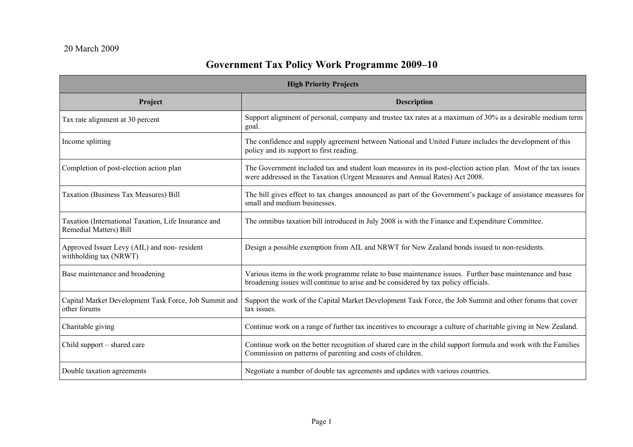## **Government Tax Policy Work Programme 2009–10**

| <b>High Priority Projects</b>                                                         |                                                                                                                                                                                                 |  |
|---------------------------------------------------------------------------------------|-------------------------------------------------------------------------------------------------------------------------------------------------------------------------------------------------|--|
| Project                                                                               | <b>Description</b>                                                                                                                                                                              |  |
| Tax rate alignment at 30 percent                                                      | Support alignment of personal, company and trustee tax rates at a maximum of 30% as a desirable medium term<br>goal.                                                                            |  |
| Income splitting                                                                      | The confidence and supply agreement between National and United Future includes the development of this<br>policy and its support to first reading.                                             |  |
| Completion of post-election action plan                                               | The Government included tax and student loan measures in its post-election action plan. Most of the tax issues<br>were addressed in the Taxation (Urgent Measures and Annual Rates) Act 2008.   |  |
| <b>Taxation (Business Tax Measures) Bill</b>                                          | The bill gives effect to tax changes announced as part of the Government's package of assistance measures for<br>small and medium businesses.                                                   |  |
| Taxation (International Taxation, Life Insurance and<br><b>Remedial Matters) Bill</b> | The omnibus taxation bill introduced in July 2008 is with the Finance and Expenditure Committee.                                                                                                |  |
| Approved Issuer Levy (AIL) and non-resident<br>withholding tax (NRWT)                 | Design a possible exemption from AIL and NRWT for New Zealand bonds issued to non-residents.                                                                                                    |  |
| Base maintenance and broadening                                                       | Various items in the work programme relate to base maintenance issues. Further base maintenance and base<br>broadening issues will continue to arise and be considered by tax policy officials. |  |
| Capital Market Development Task Force, Job Summit and<br>other forums                 | Support the work of the Capital Market Development Task Force, the Job Summit and other forums that cover<br>tax issues.                                                                        |  |
| Charitable giving                                                                     | Continue work on a range of further tax incentives to encourage a culture of charitable giving in New Zealand.                                                                                  |  |
| Child support – shared care                                                           | Continue work on the better recognition of shared care in the child support formula and work with the Families<br>Commission on patterns of parenting and costs of children.                    |  |
| Double taxation agreements                                                            | Negotiate a number of double tax agreements and updates with various countries.                                                                                                                 |  |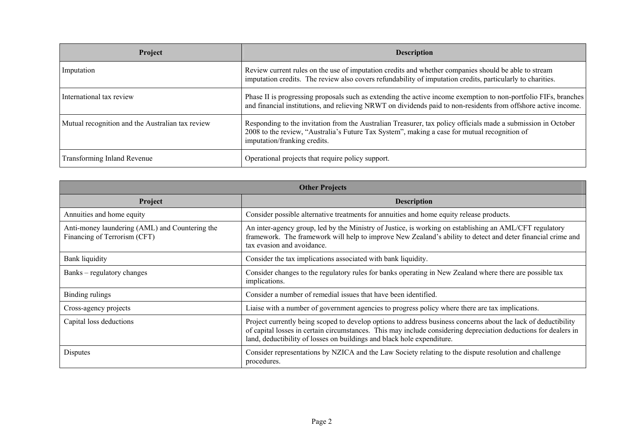| Project                                          | <b>Description</b>                                                                                                                                                                                                                            |
|--------------------------------------------------|-----------------------------------------------------------------------------------------------------------------------------------------------------------------------------------------------------------------------------------------------|
| Imputation                                       | Review current rules on the use of imputation credits and whether companies should be able to stream<br>imputation credits. The review also covers refundability of imputation credits, particularly to charities.                            |
| International tax review                         | Phase II is progressing proposals such as extending the active income exemption to non-portfolio FIFs, branches<br>and financial institutions, and relieving NRWT on dividends paid to non-residents from offshore active income.             |
| Mutual recognition and the Australian tax review | Responding to the invitation from the Australian Treasurer, tax policy officials made a submission in October<br>2008 to the review, "Australia's Future Tax System", making a case for mutual recognition of<br>imputation/franking credits. |
| <b>Transforming Inland Revenue</b>               | Operational projects that require policy support.                                                                                                                                                                                             |

| <b>Other Projects</b>                                                          |                                                                                                                                                                                                                                                                                                             |  |
|--------------------------------------------------------------------------------|-------------------------------------------------------------------------------------------------------------------------------------------------------------------------------------------------------------------------------------------------------------------------------------------------------------|--|
| Project                                                                        | <b>Description</b>                                                                                                                                                                                                                                                                                          |  |
| Annuities and home equity                                                      | Consider possible alternative treatments for annuities and home equity release products.                                                                                                                                                                                                                    |  |
| Anti-money laundering (AML) and Countering the<br>Financing of Terrorism (CFT) | An inter-agency group, led by the Ministry of Justice, is working on establishing an AML/CFT regulatory<br>framework. The framework will help to improve New Zealand's ability to detect and deter financial crime and<br>tax evasion and avoidance.                                                        |  |
| <b>Bank liquidity</b>                                                          | Consider the tax implications associated with bank liquidity.                                                                                                                                                                                                                                               |  |
| Banks – regulatory changes                                                     | Consider changes to the regulatory rules for banks operating in New Zealand where there are possible tax<br>implications.                                                                                                                                                                                   |  |
| Binding rulings                                                                | Consider a number of remedial issues that have been identified.                                                                                                                                                                                                                                             |  |
| Cross-agency projects                                                          | Liaise with a number of government agencies to progress policy where there are tax implications.                                                                                                                                                                                                            |  |
| Capital loss deductions                                                        | Project currently being scoped to develop options to address business concerns about the lack of deductibility<br>of capital losses in certain circumstances. This may include considering depreciation deductions for dealers in<br>land, deductibility of losses on buildings and black hole expenditure. |  |
| Disputes                                                                       | Consider representations by NZICA and the Law Society relating to the dispute resolution and challenge<br>procedures.                                                                                                                                                                                       |  |